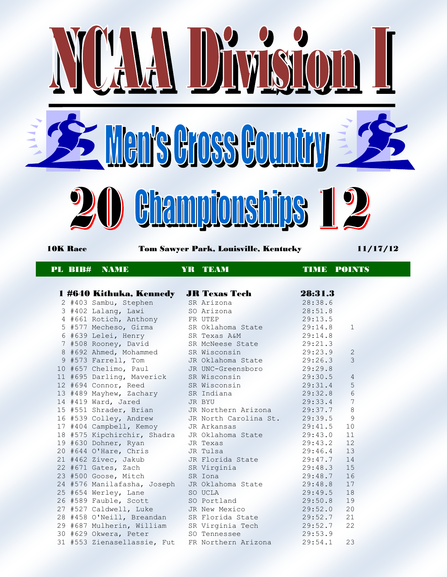

## PL BIB# NAME YR TEAM TIME POINTS

|  | 1 #640 Kithuka, Kennedy                                                                                                                          | <b>JR Texas Tech</b>  | 28:31.3 |                 |
|--|--------------------------------------------------------------------------------------------------------------------------------------------------|-----------------------|---------|-----------------|
|  | 2 #403 Sambu, Stephen                                                                                                                            | SR Arizona            | 28:38.6 |                 |
|  | 3 #402 Lalang, Lawi                                                                                                                              | SO Arizona            | 28:51.8 |                 |
|  | 4 #661 Rotich, Anthony                                                                                                                           | FR UTEP               | 29:13.5 |                 |
|  | 5 #577 Mecheso, Girma                                                                                                                            | SR Oklahoma State     | 29:14.8 | $\mathbf{1}$    |
|  | 6 #639 Lelei, Henry                                                                                                                              | SR Texas A&M          | 29:14.8 |                 |
|  | 7 #508 Rooney, David                                                                                                                             | SR McNeese State      | 29:21.3 |                 |
|  | 8 #692 Ahmed, Mohammed                                                                                                                           | SR Wisconsin          | 29:23.9 | 2               |
|  | 9 #573 Farrell, Tom                                                                                                                              | JR Oklahoma State     | 29:26.3 | $\mathcal{E}$   |
|  | 10 #657 Chelimo, Paul                                                                                                                            | JR UNC-Greensboro     | 29:29.8 |                 |
|  | 11 #695 Darling, Maverick                                                                                                                        | SR Wisconsin          | 29:30.5 | $\overline{4}$  |
|  | 12 #694 Connor, Reed                                                                                                                             | SR Wisconsin          | 29:31.4 | 5               |
|  | 13 #489 Mayhew, Zachary                                                                                                                          | SR Indiana            | 29:32.8 | 6               |
|  | 14 #419 Ward, Jared                                                                                                                              | JR BYU                | 29:33.4 | $7\phantom{.0}$ |
|  | 15 #551 Shrader, Brian                                                                                                                           | JR Northern Arizona   | 29:37.7 | $\,8\,$         |
|  | 16 #539 Colley, Andrew<br><u>the Communication of the Communication of the Communication of the Communication of the Communication of the Co</u> | JR North Carolina St. | 29:39.5 | 9               |
|  | 17 #404 Campbell, Kemoy                                                                                                                          | JR Arkansas           | 29:41.5 | 10              |
|  | 18 #575 Kipchirchir, Shadra                                                                                                                      | JR Oklahoma State     | 29:43.0 | 11              |
|  | 19 #630 Dohner, Ryan                                                                                                                             | JR Texas              | 29:43.2 | 12              |
|  | 20 #644 O'Hare, Chris                                                                                                                            | JR Tulsa              | 29:46.4 | 13              |
|  | 21 #462 Zivec, Jakub                                                                                                                             | JR Florida State      | 29:47.7 | 14              |
|  | 22 #671 Gates, Zach                                                                                                                              | SR Virginia           | 29:48.3 | 15              |
|  | 23 #500 Goose, Mitch                                                                                                                             | SR Iona               | 29:48.7 | 16              |
|  | 24 #576 Manilafasha, Joseph                                                                                                                      | JR Oklahoma State     | 29:48.8 | 17              |
|  | 25 #654 Werley, Lane                                                                                                                             | SO UCLA               | 29:49.5 | 18              |
|  | 26 #589 Fauble, Scott                                                                                                                            | SO Portland           | 29:50.8 | 19              |
|  | 27 #527 Caldwell, Luke                                                                                                                           | JR New Mexico         | 29:52.0 | 20              |
|  | 28 #458 O'Neill, Breandan                                                                                                                        | SR Florida State      | 29:52.7 | 21              |
|  | 29 #687 Mulherin, William SR Virginia Tech                                                                                                       |                       | 29:52.7 | 22              |
|  | 30 #629 Okwera, Peter<br>de de la c                                                                                                              | SO Tennessee          | 29:53.9 |                 |
|  | 31 #553 Zienasellassie, Fut FR Northern Arizona 29:54.1                                                                                          |                       |         | 23              |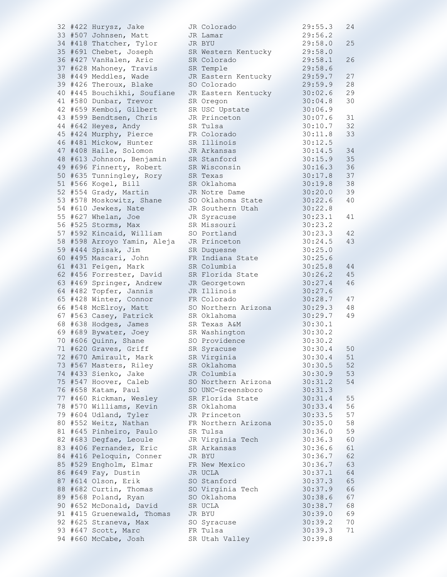|  | 32 #422 Hurysz, Jake        | JR Colorado         | 29:55.3 | 24 |
|--|-----------------------------|---------------------|---------|----|
|  | 33 #507 Johnsen, Matt       | JR Lamar            | 29:56.2 |    |
|  | 34 #418 Thatcher, Tylor     | JR BYU              | 29:58.0 | 25 |
|  | 35 #691 Chebet, Joseph      | SR Western Kentucky | 29:58.0 |    |
|  | 36 #427 VanHalen, Aric      | SR Colorado         | 29:58.1 | 26 |
|  | 37 #628 Mahoney, Travis     | SR Temple           | 29:58.6 |    |
|  | 38 #449 Meddles, Wade       | JR Eastern Kentucky | 29:59.7 | 27 |
|  | 39 #426 Theroux, Blake      | SO Colorado         | 29:59.9 | 28 |
|  | 40 #445 Bouchikhi, Soufiane | JR Eastern Kentucky | 30:02.6 | 29 |
|  | 41 #580 Dunbar, Trevor      | SR Oregon           | 30:04.8 | 30 |
|  | 42 #659 Kemboi, Gilbert     | SR USC Upstate      | 30:06.9 |    |
|  | 43 #599 Bendtsen, Chris     | JR Princeton        | 30:07.6 | 31 |
|  | 44 #642 Heyes, Andy         | SR Tulsa            | 30:10.7 | 32 |
|  | 45 #424 Murphy, Pierce      | FR Colorado         | 30:11.8 | 33 |
|  | 46 #481 Mickow, Hunter      | SR Illinois         | 30:12.5 |    |
|  | 47 #408 Haile, Solomon      | JR Arkansas         | 30:14.5 | 34 |
|  | 48 #613 Johnson, Benjamin   | SR Stanford         | 30:15.9 | 35 |
|  | 49 #696 Finnerty, Robert    | SR Wisconsin        | 30:16.3 | 36 |
|  | 50 #635 Tunningley, Rory    | SR Texas            | 30:17.8 | 37 |
|  | 51 #566 Kogel, Bill         | SR Oklahoma         | 30:19.8 | 38 |
|  | 52 #554 Grady, Martin       | JR Notre Dame       | 30:20.0 | 39 |
|  | 53 #578 Moskowitz, Shane    | SO Oklahoma State   | 30:22.6 | 40 |
|  | 54 #610 Jewkes, Nate        | JR Southern Utah    | 30:22.8 |    |
|  | 55 #627 Whelan, Joe         | JR Syracuse         | 30:23.1 | 41 |
|  | 56 #525 Storms, Max         | SR Missouri         | 30:23.2 |    |
|  | 57 #592 Kincaid, William    | SO Portland         | 30:23.3 | 42 |
|  | 58 #598 Arroyo Yamin, Aleja | JR Princeton        | 30:24.5 | 43 |
|  | 59 #444 Spisak, Jim         | SR Duquesne         | 30:25.0 |    |
|  | 60 #495 Mascari, John       | FR Indiana State    | 30:25.6 |    |
|  | 61 #431 Feigen, Mark        | SR Columbia         | 30:25.8 | 44 |
|  | 62 #456 Forrester, David    | SR Florida State    | 30:26.2 | 45 |
|  | 63 #469 Springer, Andrew    | JR Georgetown       | 30:27.4 | 46 |
|  | 64 #482 Topfer, Jannis      | JR Illinois         | 30:27.6 |    |
|  | 65 #428 Winter, Connor      | FR Colorado         | 30:28.7 | 47 |
|  | 66 #548 McElroy, Matt       | SO Northern Arizona | 30:29.3 | 48 |
|  | 67 #563 Casey, Patrick      | SR Oklahoma         | 30:29.7 | 49 |
|  | 68 #638 Hodges, James       | SR Texas A&M        | 30:30.1 |    |
|  | 69 #689 Bywater, Joey       | SR Washington       | 30:30.2 |    |
|  | 70 #606 Quinn, Shane        | SO Providence       | 30:30.2 |    |
|  | 71 #620 Graves, Griff       | SR Syracuse         | 30:30.4 | 50 |
|  | 72 #670 Amirault, Mark      | SR Virginia         | 30:30.4 | 51 |
|  | 73 #567 Masters, Riley      | SR Oklahoma         | 30:30.5 | 52 |
|  | 74 #433 Sienko, Jake        | JR Columbia         | 30:30.9 | 53 |
|  | 75 #547 Hoover, Caleb       | SO Northern Arizona | 30:31.2 | 54 |
|  | 76 #658 Katam, Paul         | SO UNC-Greensboro   | 30:31.3 |    |
|  | 77 #460 Rickman, Wesley     | SR Florida State    | 30:31.4 | 55 |
|  | 78 #570 Williams, Kevin     | SR Oklahoma         | 30:33.4 | 56 |
|  | 79 #604 Udland, Tyler       | JR Princeton        | 30:33.5 | 57 |
|  | 80 #552 Weitz, Nathan       | FR Northern Arizona | 30:35.0 | 58 |
|  | 81 #645 Pinheiro, Paulo     | SR Tulsa            | 30:36.0 | 59 |
|  | 82 #683 Degfae, Leoule      | JR Virginia Tech    | 30:36.3 | 60 |
|  | 83 #406 Fernandez, Eric     | SR Arkansas         | 30:36.6 | 61 |
|  | 84 #416 Peloquin, Conner    | JR BYU              | 30:36.7 | 62 |
|  | 85 #529 Engholm, Elmar      | FR New Mexico       | 30:36.7 | 63 |
|  | 86 #649 Fay, Dustin         | JR UCLA             | 30:37.1 | 64 |
|  | 87 #614 Olson, Erik         | SO Stanford         | 30:37.3 | 65 |
|  | 88 #682 Curtin, Thomas      | SO Virginia Tech    | 30:37.9 | 66 |
|  | 89 #568 Poland, Ryan        | SO Oklahoma         | 30:38.6 | 67 |
|  | 90 #652 McDonald, David     | SR UCLA             | 30:38.7 | 68 |
|  | 91 #415 Gruenewald, Thomas  | JR BYU              | 30:39.0 | 69 |
|  | 92 #625 Straneva, Max       | SO Syracuse         | 30:39.2 | 70 |
|  | 93 #647 Scott, Marc         | FR Tulsa            | 30:39.3 | 71 |
|  | 94 #660 McCabe, Josh        | SR Utah Valley      | 30:39.8 |    |
|  |                             |                     |         |    |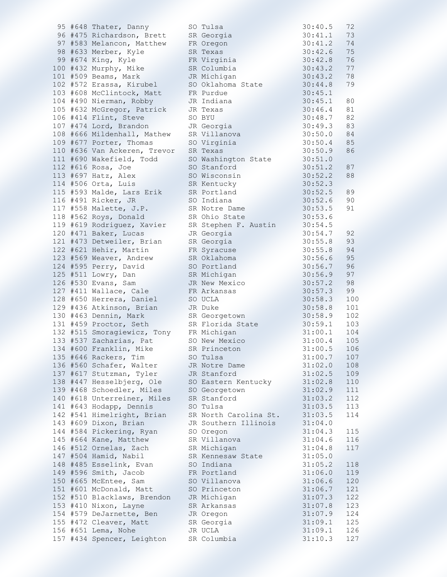|  | 95 #648 Thater, Danny                   | SO Tulsa                     | 30:40.5       | 72  |
|--|-----------------------------------------|------------------------------|---------------|-----|
|  | 96 #475 Richardson, Brett               | SR Georgia                   | 30:41.1       | 73  |
|  | 97 #583 Melancon, Matthew               | FR Oregon                    | 30:41.2       | 74  |
|  | 98 #633 Merber, Kyle                    | SR Texas                     | 30:42.6       | 75  |
|  | 99 #674 King, Kyle                      | FR Virginia                  | 30:42.8       | 76  |
|  | 100 #432 Murphy, Mike                   | SR Columbia                  | 30:43.2       | 77  |
|  | 101 #509 Beams, Mark                    | JR Michigan                  | 30:43.2       | 78  |
|  | 102 #572 Erassa, Kirubel                | SO Oklahoma State            | 30:44.8       | 79  |
|  | 103 #608 McClintock, Matt               | FR Purdue                    | 30:45.1       |     |
|  | 104 #490 Nierman, Robby                 | JR Indiana                   | 30:45.1       | 80  |
|  | 105 #632 McGregor, Patrick              | JR Texas                     | 30:46.4       | 81  |
|  |                                         | SO BYU                       |               | 82  |
|  | 106 #414 Flint, Steve                   |                              | 30:48.7       |     |
|  | 107 #474 Lord, Brandon                  | JR Georgia                   | 30:49.3       | 83  |
|  | 108 #666 Mildenhall, Mathew             | SR Villanova                 | 30:50.0       | 84  |
|  | 109 #677 Porter, Thomas                 | SO Virginia                  | 30:50.4       | 85  |
|  | 110 #636 Van Ackeren, Trevor            | SR Texas                     | 30:50.9       | 86  |
|  | 111 #690 Wakefield, Todd                | SO Washington State          | 30:51.0       |     |
|  | 112 #616 Rosa, Joe                      | SO Stanford                  | 30:51.2       | 87  |
|  | 113 #697 Hatz, Alex                     | SO Wisconsin                 | 30:52.2       | 88  |
|  | 114 #506 Orta, Luis                     | SR Kentucky                  | 30:52.3       |     |
|  | 115 #593 Malde, Lars Erik               | SR Portland                  | 30:52.5       | 89  |
|  | 116 #491 Ricker, JR                     | SO Indiana                   | 30:52.6       | 90  |
|  | 117 #558 Malette, J.P.                  | SR Notre Dame                | 30:53.5       | 91  |
|  | 118 #562 Roys, Donald                   | SR Ohio State                | 30:53.6       |     |
|  | 119 #619 Rodriguez, Xavier              | SR Stephen F. Austin         | 30:54.5       |     |
|  | 120 #471 Baker, Lucas                   | JR Georgia                   | 30:54.7       | 92  |
|  | 121 #473 Detweiler, Brian               | SR Georgia                   | 30:55.8       | 93  |
|  | 122 #621 Hehir, Martin                  | FR Syracuse                  | 30:55.8       | 94  |
|  | 123 #569 Weaver, Andrew                 | SR Oklahoma                  | 30:56.6       | 95  |
|  | 124 #595 Perry, David                   | SO Portland                  | 30:56.7       | 96  |
|  | 125 #511 Lowry, Dan                     |                              | 30:56.9       | 97  |
|  |                                         | SR Michigan<br>JR New Mexico |               | 98  |
|  | 126 #530 Evans, Sam                     |                              | 30:57.2       |     |
|  | 127 #411 Wallace, Cale                  | FR Arkansas                  | 30:57.3       | 99  |
|  | 128 #650 Herrera, Daniel                | SO UCLA                      | 30:58.3       | 100 |
|  | 129 #436 Atkinson, Brian                | JR Duke                      | 30:58.8       | 101 |
|  | 130 #463 Dennin, Mark                   | SR Georgetown                | 30:58.9       | 102 |
|  | 131 #459 Proctor, Seth                  | SR Florida State             | 30:59.1       | 103 |
|  | 132 #515 Smoragiewicz, Tony FR Michigan |                              | 31:00.1       | 104 |
|  | 133 #537 Zacharias, Pat                 | SO New Mexico                | 31:00.4       | 105 |
|  | 134 #600 Franklin, Mike                 | SR Princeton                 | $31:00.5$ 106 |     |
|  | 135 #646 Rackers, Tim                   | SO Tulsa                     | 31:00.7       | 107 |
|  | 136 #560 Schafer, Walter                | JR Notre Dame                | 31:02.0       | 108 |
|  | 137 #617 Stutzman, Tyler                | JR Stanford                  | 31:02.5       | 109 |
|  | 138 #447 Hesselbjerg, Ole               | SO Eastern Kentucky          | 31:02.8       | 110 |
|  | 139 #468 Schoedler, Miles               | SO Georgetown                | 31:02.9       | 111 |
|  | 140 #618 Unterreiner, Miles             | SR Stanford                  | 31:03.2       | 112 |
|  | 141 #643 Hodapp, Dennis                 | SO Tulsa                     | 31:03.5       | 113 |
|  | 142 #541 Himelright, Brian              | SR North Carolina St.        | 31:03.5       | 114 |
|  | 143 #609 Dixon, Brian                   | JR Southern Illinois         | 31:04.0       |     |
|  | 144 #584 Pickering, Ryan                | SO Oregon                    | 31:04.3       | 115 |
|  | 145 #664 Kane, Matthew                  | SR Villanova                 | 31:04.6       | 116 |
|  | 146 #512 Ornelas, Zach                  | SR Michigan                  | 31:04.8       | 117 |
|  |                                         |                              |               |     |
|  | 147 #504 Hamid, Nabil                   | SR Kennesaw State            | 31:05.0       |     |
|  | 148 #485 Esselink, Evan                 | SO Indiana                   | 31:05.2       | 118 |
|  | 149 #596 Smith, Jacob                   | FR Portland                  | 31:06.0       | 119 |
|  | 150 #665 McEntee, Sam                   | SO Villanova                 | 31:06.6       | 120 |
|  | 151 #601 McDonald, Matt                 | SO Princeton                 | 31:06.7       | 121 |
|  | 152 #510 Blacklaws, Brendon             | JR Michigan                  | 31:07.3       | 122 |
|  | 153 #410 Nixon, Layne                   | SR Arkansas                  | 31:07.8       | 123 |
|  | 154 #579 DeJarnette, Ben                | JR Oregon                    | 31:07.9       | 124 |
|  | 155 #472 Cleaver, Matt                  | SR Georgia                   | 31:09.1       | 125 |
|  | 156 #651 Lema, Nohe                     | JR UCLA                      | 31:09.1       | 126 |
|  | 157 #434 Spencer, Leighton              | SR Columbia                  | 31:10.3       | 127 |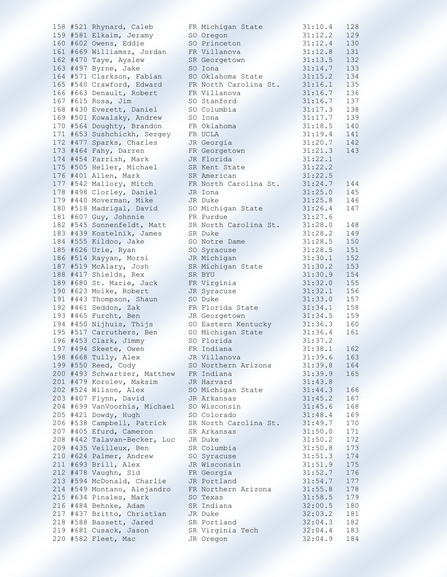|  | 158 #521 Rhynard, Caleb                   | FR Michigan State                       | 31:10.4       | 128 |
|--|-------------------------------------------|-----------------------------------------|---------------|-----|
|  | 159 #581 Elkaim, Jeramy                   | SO Oregon                               | 31:12.2       | 129 |
|  | 160 #602 Owens, Eddie                     | SO Princeton                            | 31:12.4       | 130 |
|  | 161 #669 Williamsz, Jordan                | FR Villanova                            | 31:12.8       | 131 |
|  | 162 #470 Taye, Ayalew                     | SR Georgetown                           | 31:13.5       | 132 |
|  | 163 #497 Byrne, Jake                      | SO Iona                                 | 31:14.7       | 133 |
|  | 164 #571 Clarkson, Fabian                 | SO Oklahoma State                       | 31:15.2       | 134 |
|  | 165 #540 Crawford, Edward                 | FR North Carolina St.                   | 31:16.1       | 135 |
|  |                                           |                                         |               |     |
|  | 166 #663 Denault, Robert                  | FR Villanova                            | 31:16.7       | 136 |
|  | 167 #615 Rosa, Jim                        | SO Stanford                             | 31:16.7       | 137 |
|  | 168 #430 Everett, Daniel                  | SO Columbia                             | 31:17.3       | 138 |
|  | 169 #501 Kowalsky, Andrew                 | SO Iona                                 | 31:17.7       | 139 |
|  | 170 #564 Doughty, Brandon                 | FR Oklahoma                             | $31:18.5$ 140 |     |
|  | 171 #653 Sushchickh, Sergey               | FR UCLA                                 | $31:19.4$ 141 |     |
|  | 172 #477 Sparks, Charles                  | JR Georgia                              | $31:20.7$ 142 |     |
|  | 173 #464 Fahy, Darren                     | FR Georgetown                           | 31:21.3       | 143 |
|  | 174 #454 Parrish, Mark                    | JR Florida                              | 31:22.1       |     |
|  | 175 #505 Heller, Michael                  | SR Kent State                           | 31:22.2       |     |
|  | 176 #401 Allen, Mark                      | SR American                             | 31:22.5       |     |
|  | 177 #542 Mallory, Mitch                   | FR North Carolina St.                   | 31:24.7       | 144 |
|  | 178 #498 Clorley, Daniel                  | JR Iona                                 | 31:25.0       | 145 |
|  | 179 #440 Moverman, Mike                   | JR Duke                                 | 31:25.8       | 146 |
|  | 180 #518 Madrigal, David                  | SO Michigan State                       | 31:26.4       | 147 |
|  | 181 #607 Guy, Johnnie                     | FR Purdue                               | 31:27.6       |     |
|  |                                           | SR North Carolina St.                   |               |     |
|  | 182 #545 Sonnenfeldt, Matt                |                                         | 31:28.0       | 148 |
|  | 183 #439 Kostelnik, James                 | SR Duke                                 | 31:28.2       | 149 |
|  | 184 #555 Kildoo, Jake                     | SO Notre Dame                           | 31:28.5       | 150 |
|  | 185 #626 Urie, Ryan                       | SO Syracuse                             | 31:28.5       | 151 |
|  | 186 #514 Rayyan, Morsi                    | JR Michigan                             | 31:30.1       | 152 |
|  | 187 #519 McAlary, Josh                    | SR Michigan State                       | 31:30.2       | 153 |
|  | 188 #417 Shields, Rex                     | SR BYU                                  | 31:30.9       | 154 |
|  | 189 #680 St. Marie, Jack                  | FR Virginia                             | 31:32.0       | 155 |
|  | 190 #623 Molke, Robert                    | JR Syracuse                             | 31:32.1       | 156 |
|  | 191 #443 Thompson, Shaun                  | SO Duke                                 | 31:33.0       | 157 |
|  | 192 #461 Seddon, Zak                      | FR Florida State                        | $31:34.1$ 158 |     |
|  | 193 #465 Furcht, Ben                      | JR Georgetown                           | 31:34.5       | 159 |
|  | 194 #450 Nijhuis, Thijs                   | SO Eastern Kentucky                     | 31:36.3       | 160 |
|  | 195 #517 Carruthers, Ben                  | SO Michigan State                       | 31:36.4       | 161 |
|  | 196 #453 Clark, Jimmy                     | SO Florida                              | 31:37.2       |     |
|  | 197 #494 Skeete, Owen                     | FR Indiana                              | $31:38.1$ 162 |     |
|  | 198 #668 Tully, Alex                      | JR Villanova                            | 31:39.6       | 163 |
|  | 199 #550 Reed, Cody                       | SO Northern Arizona                     | $31:39.8$ 164 |     |
|  | 200 #493 Schwartzer, Matthew FR Indiana   |                                         | 31:39.9       |     |
|  |                                           |                                         |               | 165 |
|  | 201 #479 Korolev, Maksim                  | JR Harvard                              | 31:43.8       |     |
|  | 202 #524 Wilson, Alex                     | SO Michigan State                       | 31:44.3       | 166 |
|  | 203 #407 Flynn, David                     | JR Arkansas                             | 31:45.2       | 167 |
|  | 204 #699 VanVoorhis, Michael SO Wisconsin |                                         | 31:45.6       | 168 |
|  | 205 #421 Dowdy, Hugh<br>t de l'Alba       | SO Colorado                             | 31:48.4       | 169 |
|  | 206 #538 Campbell, Patrick                | SR North Carolina St.                   | 31:49.7       | 170 |
|  | 207 #405 Efurd, Cameron                   | SR Arkansas                             | 31:50.0       | 171 |
|  | 208 #442 Talavan-Becker, Luc JR Duke      |                                         | 31:50.2       | 172 |
|  | 209 #435 Veilleux, Ben SR Columbia        |                                         | 31:50.8       | 173 |
|  | 210 #624 Palmer, Andrew SO Syracuse       |                                         | 31:51.3       | 174 |
|  | 211 #693 Brill, Alex                      | JR Wisconsin                            | 31:51.9       | 175 |
|  | 212 #478 Vaughn, Sid                      | FR Georgia                              | 31:52.7       | 176 |
|  | 213 #594 McDonald, Charlie                | JR Portland                             | 31:54.7       | 177 |
|  | 214 #549 Montano, Alejandro               | FR Northern Arizona                     | 31:55.8       | 178 |
|  | 215 #634 Pinales, Mark                    | SO Texas                                | 31:58.5       | 179 |
|  | 216 #484 Behnke, Adam                     | SR Indiana                              | 32:00.5       | 180 |
|  | 217 #437 Britto, Christian JR Duke        |                                         |               |     |
|  |                                           |                                         | 32:03.2       | 181 |
|  | 218 #588 Bassett, Jared SR Portland       |                                         | 32:04.3       | 182 |
|  |                                           | 219 #681 Cusack, Jason SR Virginia Tech | 32:04.4       | 183 |
|  | 220 #582 Fleet, Mac                       | JR Oregon                               | $32:04.9$ 184 |     |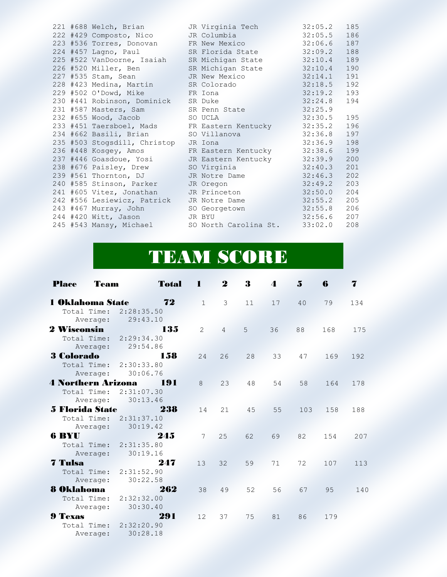|  | 221 #688 Welch, Brian                              | JR Virginia Tech                             | $32:05.2$ 185 |     |
|--|----------------------------------------------------|----------------------------------------------|---------------|-----|
|  | 222 #429 Composto, Nico                            | JR Columbia                                  | 32:05.5       | 186 |
|  | 223 #536 Torres, Donovan FR New Mexico             |                                              | 32:06.6 187   |     |
|  | $224$ #457 Lagno, Paul                             | SR Florida State                             | 32:09.2       | 188 |
|  | 225 #522 VanDoorne, Isaiah                         | SR Michigan State                            | 32:10.4       | 189 |
|  | 226 #520 Miller, Ben                               | SR Michigan State                            | 32:10.4       | 190 |
|  | 227 #535 Stam, Sean<br><u> Kabupatèn Suma</u>      | JR New Mexico                                | $32:14.1$ 191 |     |
|  | 228 #423 Medina, Martin                            | SR Colorado                                  | 32:18.5       | 192 |
|  | 229 #502 O'Dowd, Mike<br><b>Example 18 FR</b> Iona |                                              | 32:19.2       | 193 |
|  | 230 #441 Robinson, Dominick                        | SR Duke                                      | 32:24.8       | 194 |
|  | 231 #587 Masters, Sam                              | SR Penn State                                | 32:25.9       |     |
|  | 232 #655 Wood, Jacob                               | SO UCLA                                      | $32:30.5$ 195 |     |
|  |                                                    | 233 #451 Taersboel, Mads FR Eastern Kentucky | 32:35.2       | 196 |
|  | 234 #662 Basili, Brian                             | SO Villanova                                 | 32:36.8       | 197 |
|  | 235 #503 Stogsdill, Christop                       | JR Iona                                      | 32:36.9       | 198 |
|  |                                                    | 236 #448 Kosqey, Amos FR Eastern Kentucky    | 32:38.6       | 199 |
|  | 237 #446 Goasdoue, Yosi                            | JR Eastern Kentucky                          | 32:39.9       | 200 |
|  | 238 #676 Paisley, Drew                             | SO Virginia                                  | 32:40.3       | 201 |
|  | 239 #561 Thornton, DJ                              | JR Notre Dame                                | 32:46.3       | 202 |
|  | 240 #585 Stinson, Parker                           | JR Oregon                                    | 32:49.2       | 203 |
|  | 241 #605 Vitez, Jonathan                           | JR Princeton                                 | 32:50.0       | 204 |
|  | 242 #556 Lesiewicz, Patrick                        | JR Notre Dame                                | 32:55.2       | 205 |
|  | 243 #467 Murray, John                              | SO Georgetown                                | 32:55.8       | 206 |
|  | 244 #420 Witt, Jason                               | JR BYU                                       | $32:56.6$ 207 |     |
|  | 245 #543 Mansy, Michael                            | SO North Carolina St.                        | 33:02.0       | 208 |

## TEAM SCORE

| Team<br><b>Place</b>                                 | <b>Total</b>                                       | -1           | $\boldsymbol{2}$ | 3  | 4  | $\mathbf{5}$ | 6   | 7   |
|------------------------------------------------------|----------------------------------------------------|--------------|------------------|----|----|--------------|-----|-----|
| <b>1 Oklahoma State</b><br>Total Time:<br>Average:   | 72<br>2:28:35.50<br>29:43.10                       | $\mathbf{1}$ | 3                | 11 | 17 | 40           | 79  | 134 |
| 2 Wisconsin<br>Average:                              | 135<br>Total Time: 2:29:34.30<br>29:54.86<br>C, C  | 2            | $\overline{4}$   | 5  | 36 | 88           | 168 | 175 |
| <b>3 Colorado</b>                                    | 158<br>Total Time: 2:30:33.80<br>Average: 30:06.76 | 24           | 26               | 28 | 33 | 47           | 169 | 192 |
| <b>4 Northern Arizona</b><br>Total Time:<br>Average: | 191<br>2:31:07.30<br>30:13.46                      | 8            | 23               | 48 | 54 | 58           | 164 | 178 |
| <b>5 Florida State</b>                               | 238<br>Total Time: 2:31:37.10<br>Average: 30:19.42 | 14           | 21               | 45 | 55 | 103          | 158 | 188 |
| 6 BYU                                                | 245<br>Total Time: 2:31:35.80<br>Average: 30:19.16 | 7            | 25               | 62 | 69 | 82           | 154 | 207 |
| 7 Tulsa<br>Total Time:<br>Average:                   | 247<br>2:31:52.90<br>30:22.58                      | 13           | 32               | 59 | 71 | 72           | 107 | 113 |
| <b>8 Oklahoma</b><br>Total Time:<br>Average:         | 262<br>2:32:32.00<br>30:30.40                      | 38           | 49               | 52 | 56 | 67           | 95  | 140 |
| <b>9 Texas</b><br>Total Time:<br>Average:            | 291<br>2:32:20.90<br>30:28.18                      | 12           | 37               | 75 | 81 | 86           | 179 |     |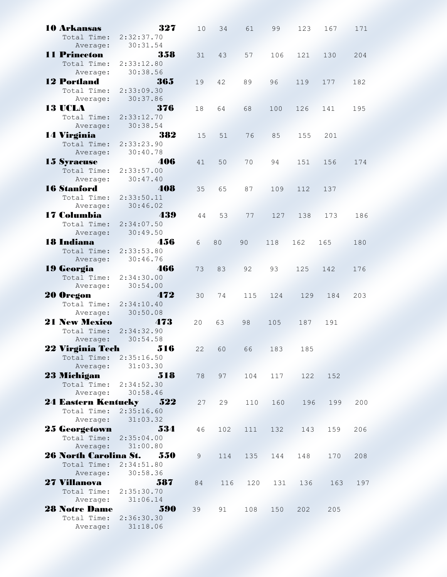| <b>10 Arkansas</b>                          | 327                         | 10 | 34  | 61  | 99  | 123 | 167 | 171 |
|---------------------------------------------|-----------------------------|----|-----|-----|-----|-----|-----|-----|
| Total Time:                                 | 2:32:37.70                  |    |     |     |     |     |     |     |
| Average:                                    | 30:31.54                    |    |     |     |     |     |     |     |
| <b>11 Princeton</b>                         | 358                         | 31 | 43  | 57  | 106 | 121 | 130 | 204 |
| Total Time:                                 | 2:33:12.80                  |    |     |     |     |     |     |     |
|                                             |                             |    |     |     |     |     |     |     |
| Average:                                    | 30:38.56                    |    |     |     |     |     |     |     |
| <b>12 Portland</b>                          | 365                         | 19 | 42  | 89  | 96  | 119 | 177 | 182 |
| Total Time:                                 | 2:33:09.30                  |    |     |     |     |     |     |     |
| Average:                                    | 30:37.86<br>Contractor      |    |     |     |     |     |     |     |
| 13 UCLA                                     | 376                         | 18 | 64  | 68  | 100 | 126 | 141 | 195 |
| Total Time:                                 | 2:33:12.70                  |    |     |     |     |     |     |     |
| Average:                                    | 30:38.54                    |    |     |     |     |     |     |     |
| 14 Virginia                                 | 382                         | 15 | 51  | 76  | 85  | 155 | 201 |     |
| Total Time: 2:33:23.90                      |                             |    |     |     |     |     |     |     |
| Average:                                    | 30:40.78                    |    |     |     |     |     |     |     |
|                                             | 406                         |    |     |     |     |     |     |     |
| <b>15 Syracuse</b>                          |                             | 41 | 50  | 70  | 94  | 151 | 156 | 174 |
| Total Time: 2:33:57.00                      |                             |    |     |     |     |     |     |     |
| Average:                                    | 30:47.40                    |    |     |     |     |     |     |     |
| <b>16 Stanford</b>                          | 408                         | 35 | 65  | 87  | 109 | 112 | 137 |     |
| Total Time: 2:33:50.11                      |                             |    |     |     |     |     |     |     |
|                                             | Average: 30:46.02           |    |     |     |     |     |     |     |
| 17 Columbia                                 | 439                         | 44 | 53  | 77  | 127 | 138 | 173 | 186 |
| Total Time:                                 | 2:34:07.50                  |    |     |     |     |     |     |     |
| Average:                                    | 30:49.50                    |    |     |     |     |     |     |     |
| <b>18 Indiana</b>                           | 456                         | 6  | 80  | 90  | 118 | 162 | 165 | 180 |
| Total Time:                                 | 2:33:53.80                  |    |     |     |     |     |     |     |
| Average:                                    | 30:46.76                    |    |     |     |     |     |     |     |
|                                             |                             |    |     |     |     |     |     |     |
| <b>19 Georgia</b>                           | 466                         | 73 | 83  | 92  | 93  | 125 | 142 | 176 |
| Total Time:                                 | 2:34:30.00                  |    |     |     |     |     |     |     |
| Average:                                    | 30:54.00                    |    |     |     |     |     |     |     |
| 20 Oregon <b>Provident Communist Street</b> | 472                         | 30 | 74  | 115 | 124 | 129 | 184 | 203 |
| Total Time: 2:34:10.40                      |                             |    |     |     |     |     |     |     |
| Average:                                    | 30:50.08<br>44              |    |     |     |     |     |     |     |
| <b>21 New Mexico</b>                        | 473<br>700 A 10             | 20 | 63  | 98  | 105 | 187 | 191 |     |
| Total Time:                                 | 2:34:32.90                  |    |     |     |     |     |     |     |
| Average:                                    | 30:54.58                    |    |     |     |     |     |     |     |
| 22 Virginia Tech 516                        |                             | 22 | 60  | 66  | 183 | 185 |     |     |
| Total Time: 2:35:16.50                      |                             |    |     |     |     |     |     |     |
|                                             | Average: 31:03.30           |    |     |     |     |     |     |     |
|                                             |                             |    |     |     |     |     |     |     |
| 23 Michigan                                 | 518                         | 78 | 97  | 104 | 117 | 122 | 152 |     |
| Total Time: 2:34:52.30                      |                             |    |     |     |     |     |     |     |
|                                             | Average: 30:58.46           |    |     |     |     |     |     |     |
| 24 Eastern Kentucky 522                     |                             | 27 | 29  | 110 | 160 | 196 | 199 | 200 |
| Total Time: 2:35:16.60                      |                             |    |     |     |     |     |     |     |
|                                             | Average: 31:03.32           |    |     |     |     |     |     |     |
| 25 Georgetown 534                           |                             | 46 | 102 | 111 | 132 | 143 | 159 | 206 |
| Total Time: 2:35:04.00                      |                             |    |     |     |     |     |     |     |
|                                             | Average: 31:00.80           |    |     |     |     |     |     |     |
| 26 North Carolina St. 550                   |                             | 9  | 114 | 135 | 144 | 148 | 170 | 208 |
| Total Time: 2:34:51.80                      |                             |    |     |     |     |     |     |     |
|                                             | Average: 30:58.36           |    |     |     |     |     |     |     |
|                                             |                             |    |     |     |     |     |     |     |
| 27 Villanova                                | 587                         | 84 | 116 | 120 | 131 | 136 | 163 | 197 |
| Total Time: 2:35:30.70                      |                             |    |     |     |     |     |     |     |
|                                             | Average: 31:06.14           |    |     |     |     |     |     |     |
| <b>28 Notre Dame</b>                        | 590<br>de de la califactura | 39 | 91  | 108 | 150 | 202 | 205 |     |
| Total Time: 2:36:30.30                      |                             |    |     |     |     |     |     |     |
|                                             | Average: 31:18.06           |    |     |     |     |     |     |     |